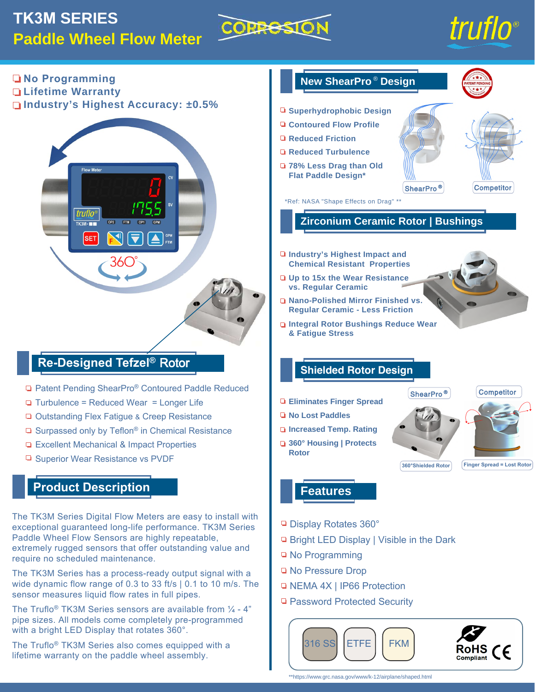# **TK3M SERIES Paddle Wheel Flow Meter**



# truflo®

**No Programming Lifetime Warranty**

**Industry's Highest Accuracy: ±0.5%**



## **Re-Designed Tefzel®** Rotor

- □ Patent Pending ShearPro® Contoured Paddle Reduced
- $\Box$  Turbulence = Reduced Wear = Longer Life
- □ Outstanding Flex Fatigue & Creep Resistance
- $\Box$  Surpassed only by Teflon<sup>®</sup> in Chemical Resistance
- □ Excellent Mechanical & Impact Properties
- □ Superior Wear Resistance vs PVDF

### **Product Description**

The TK3M Series Digital Flow Meters are easy to install with exceptional guaranteed long-life performance. TK3M Series Paddle Wheel Flow Sensors are highly repeatable, extremely rugged sensors that offer outstanding value and require no scheduled maintenance.

The TK3M Series has a process-ready output signal with a wide dynamic flow range of 0.3 to 33 ft/s | 0.1 to 10 m/s. The sensor measures liquid flow rates in full pipes.

The Truflo<sup>®</sup> TK3M Series sensors are available from  $\frac{1}{4}$  - 4" pipe sizes. All models come completely pre-programmed with a bright LED Display that rotates 360°.

The Truflo® TK3M Series also comes equipped with a lifetime warranty on the paddle wheel assembly.



- □ NEMA 4X | IP66 Protection
- □ Password Protected Security